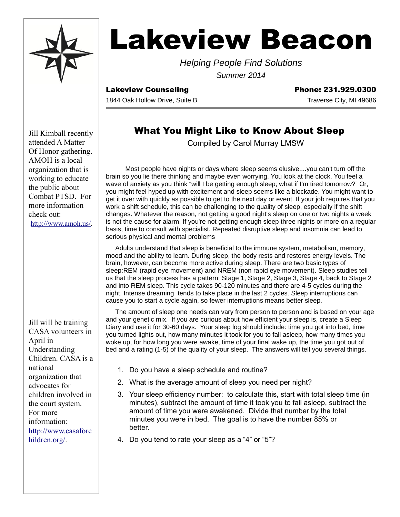

# **Lakeview Beacon**

Helping People Find Solutions Summer 2014

Lakeview Counseling **Phone: 231.929.0300** 

1844 Oak Hollow Drive, Suite B Traverse City, MI 49686

## What You Might Like to Know About Sleep

Compiled by Carol Murray LMSW

Most people have nights or days where sleep seems elusive....you can't turn off the brain so you lie there thinking and maybe even worrying. You look at the clock. You feel a wave of anxiety as you think "will I be getting enough sleep; what if I'm tired tomorrow?" Or, you might feel hyped up with excitement and sleep seems like a blockade. You might want to get it over with quickly as possible to get to the next day or event. If your job requires that you work a shift schedule, this can be challenging to the quality of sleep, especially if the shift changes. Whatever the reason, not getting a good night's sleep on one or two nights a week is not the cause for alarm. If you're not getting enough sleep three nights or more on a regular basis, time to consult with specialist. Repeated disruptive sleep and insomnia can lead to serious physical and mental problems

Adults understand that sleep is beneficial to the immune system, metabolism, memory, mood and the ability to learn. During sleep, the body rests and restores energy levels. The brain, however, can become more active during sleep. There are two basic types of sleep:REM (rapid eye movement) and NREM (non rapid eye movement). Sleep studies tell us that the sleep process has a pattern: Stage 1, Stage 2, Stage 3, Stage 4, back to Stage 2 and into REM sleep. This cycle takes 90-120 minutes and there are 4-5 cycles during the night. Intense dreaming tends to take place in the last 2 cycles. Sleep interruptions can cause you to start a cycle again, so fewer interruptions means better sleep.

The amount of sleep one needs can vary from person to person and is based on your age and your genetic mix. If you are curious about how efficient your sleep is, create a Sleep Diary and use it for 30-60 days. Your sleep log should include: time you got into bed, time you turned lights out, how many minutes it took for you to fall asleep, how many times you woke up, for how long you were awake, time of your final wake up, the time you got out of bed and a rating (1-5) of the quality of your sleep. The answers will tell you several things.

- 1. Do you have a sleep schedule and routine?
- 2. What is the average amount of sleep you need per night?
- 3. Your sleep efficiency number: to calculate this, start with total sleep time (in minutes), subtract the amount of time it took you to fall asleep, subtract the amount of time you were awakened. Divide that number by the total minutes you were in bed. The goal is to have the number 85% or better.
- 4. Do you tend to rate your sleep as a "4" or "5"?

Jill Kimball recently attended A Matter Of Honor gathering. AMOH is a local organization that is working to educate the public about Combat PTSD. For more information check out: [http://www.amoh.us/.](http://www.amoh.us/)

Jill will be training CASA volunteers in April in Understanding Children. CASA is a national organization that advocates for children involved in the court system. For more information: [http://www.casaforc](http://www.casaforchildren.org/) [hildren.org/.](http://www.casaforchildren.org/)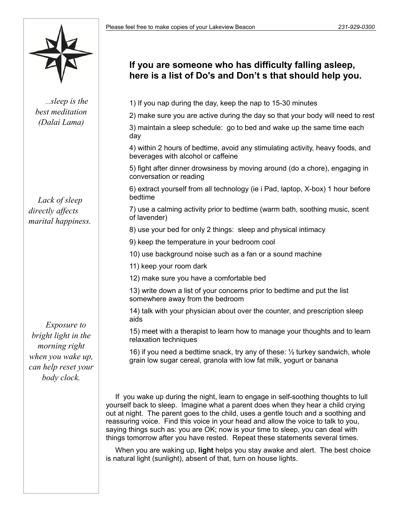

…sleep is the best meditation (Dalai Lama)

Lack of sleep directly affects marital happiness.

Exposure to bright light in the morning right when you wake up, can help reset your body clock.

## **If you are someone who has difficulty falling asleep, here is a list of Do's and Don't s that should help you.**

1) If you nap during the day, keep the nap to 15-30 minutes

2) make sure you are active during the day so that your body will need to rest

3) maintain a sleep schedule: go to bed and wake up the same time each day

4) within 2 hours of bedtime, avoid any stimulating activity, heavy foods, and beverages with alcohol or caffeine

5) fight after dinner drowsiness by moving around (do a chore), engaging in conversation or reading

6) extract yourself from all technology (ie i Pad, laptop, X-box) 1 hour before bedtime

7) use a calming activity prior to bedtime (warm bath, soothing music, scent of lavender)

8) use your bed for only 2 things: sleep and physical intimacy

9) keep the temperature in your bedroom cool

10) use background noise such as a fan or a sound machine

11) keep your room dark

12) make sure you have a comfortable bed

13) write down a list of your concerns prior to bedtime and put the list somewhere away from the bedroom

14) talk with your physician about over the counter, and prescription sleep aids

15) meet with a therapist to learn how to manage your thoughts and to learn relaxation techniques

16) if you need a bedtime snack, try any of these: ½ turkey sandwich, whole grain low sugar cereal, granola with low fat milk, yogurt or banana

If you wake up during the night, learn to engage in self-soothing thoughts to lull yourself back to sleep. Imagine what a parent does when they hear a child crying out at night. The parent goes to the child, uses a gentle touch and a soothing and reassuring voice. Find this voice in your head and allow the voice to talk to you, saying things such as: you are OK; now is your time to sleep, you can deal with things tomorrow after you have rested. Repeat these statements several times.

When you are waking up, **light** helps you stay awake and alert. The best choice is natural light (sunlight), absent of that, turn on house lights.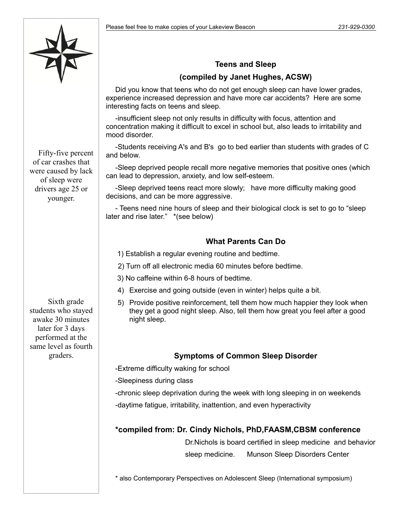

#### **Teens and Sleep**

### **(compiled by Janet Hughes, ACSW)**

Did you know that teens who do not get enough sleep can have lower grades, experience increased depression and have more car accidents? Here are some interesting facts on teens and sleep.

-insufficient sleep not only results in difficulty with focus, attention and concentration making it difficult to excel in school but, also leads to irritability and mood disorder.

-Students receiving A's and B's go to bed earlier than students with grades of C and below.

-Sleep deprived people recall more negative memories that positive ones (which can lead to depression, anxiety, and low self-esteem.

-Sleep deprived teens react more slowly; have more difficulty making good decisions, and can be more aggressive.

- Teens need nine hours of sleep and their biological clock is set to go to "sleep later and rise later." \*(see below)

### **What Parents Can Do**

1) Establish a regular evening routine and bedtime.

2) Turn off all electronic media 60 minutes before bedtime.

3) No caffeine within 6-8 hours of bedtime.

- 4) Exercise and going outside (even in winter) helps quite a bit.
- 5) Provide positive reinforcement, tell them how much happier they look when they get a good night sleep. Also, tell them how great you feel after a good night sleep.

#### **Symptoms of Common Sleep Disorder**

-Extreme difficulty waking for school

-Sleepiness during class

-chronic sleep deprivation during the week with long sleeping in on weekends

-daytime fatigue, irritability, inattention, and even hyperactivity

#### **\*compiled from: Dr. Cindy Nichols, PhD,FAASM,CBSM conference**

 Dr.Nichols is board certified in sleep medicine and behavior sleep medicine. Munson Sleep Disorders Center

\* also Contemporary Perspectives on Adolescent Sleep (International symposium)

Fifty-five percent of car crashes that were caused by lack of sleep were drivers age 25 or younger.

Sixth grade students who stayed awake 30 minutes later for 3 days performed at the same level as fourth graders.